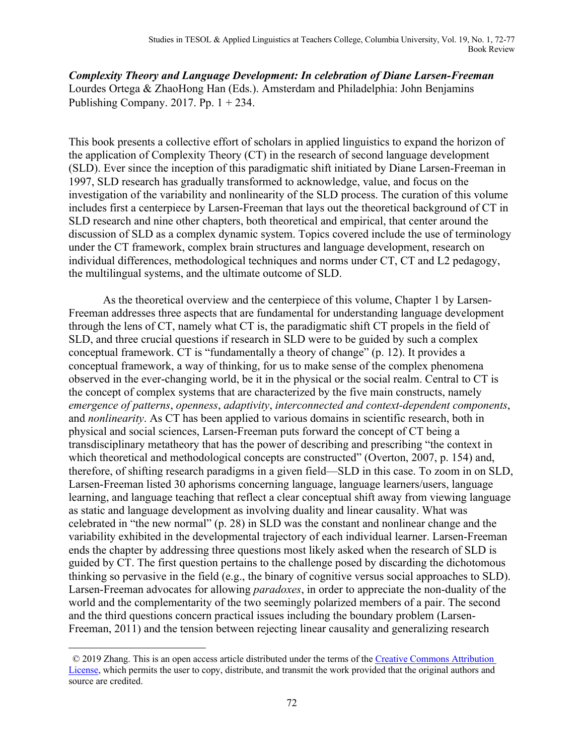*Complexity Theory and Language Development: In celebration of Diane Larsen-Freeman*  Lourdes Ortega & ZhaoHong Han (Eds.). Amsterdam and Philadelphia: John Benjamins Publishing Company. 2017. Pp.  $1 + 234$ .

This book presents a collective effort of scholars in applied linguistics to expand the horizon of the application of Complexity Theory (CT) in the research of second language development (SLD). Ever since the inception of this paradigmatic shift initiated by Diane Larsen-Freeman in 1997, SLD research has gradually transformed to acknowledge, value, and focus on the investigation of the variability and nonlinearity of the SLD process. The curation of this volume includes first a centerpiece by Larsen-Freeman that lays out the theoretical background of CT in SLD research and nine other chapters, both theoretical and empirical, that center around the discussion of SLD as a complex dynamic system. Topics covered include the use of terminology under the CT framework, complex brain structures and language development, research on individual differences, methodological techniques and norms under CT, CT and L2 pedagogy, the multilingual systems, and the ultimate outcome of SLD.

As the theoretical overview and the centerpiece of this volume, Chapter 1 by Larsen-Freeman addresses three aspects that are fundamental for understanding language development through the lens of CT, namely what CT is, the paradigmatic shift CT propels in the field of SLD, and three crucial questions if research in SLD were to be guided by such a complex conceptual framework. CT is "fundamentally a theory of change" (p. 12). It provides a conceptual framework, a way of thinking, for us to make sense of the complex phenomena observed in the ever-changing world, be it in the physical or the social realm. Central to CT is the concept of complex systems that are characterized by the five main constructs, namely *emergence of patterns*, *openness*, *adaptivity*, *interconnected and context-dependent components*, and *nonlinearity*. As CT has been applied to various domains in scientific research, both in physical and social sciences, Larsen-Freeman puts forward the concept of CT being a transdisciplinary metatheory that has the power of describing and prescribing "the context in which theoretical and methodological concepts are constructed" (Overton, 2007, p. 154) and, therefore, of shifting research paradigms in a given field—SLD in this case. To zoom in on SLD, Larsen-Freeman listed 30 aphorisms concerning language, language learners/users, language learning, and language teaching that reflect a clear conceptual shift away from viewing language as static and language development as involving duality and linear causality. What was celebrated in "the new normal" (p. 28) in SLD was the constant and nonlinear change and the variability exhibited in the developmental trajectory of each individual learner. Larsen-Freeman ends the chapter by addressing three questions most likely asked when the research of SLD is guided by CT. The first question pertains to the challenge posed by discarding the dichotomous thinking so pervasive in the field (e.g., the binary of cognitive versus social approaches to SLD). Larsen-Freeman advocates for allowing *paradoxes*, in order to appreciate the non-duality of the world and the complementarity of the two seemingly polarized members of a pair. The second and the third questions concern practical issues including the boundary problem (Larsen-Freeman, 2011) and the tension between rejecting linear causality and generalizing research

 $\overline{a}$ 

<sup>© 2019</sup> Zhang. This is an open access article distributed under the terms of the Creative Commons Attribution License, which permits the user to copy, distribute, and transmit the work provided that the original authors and source are credited.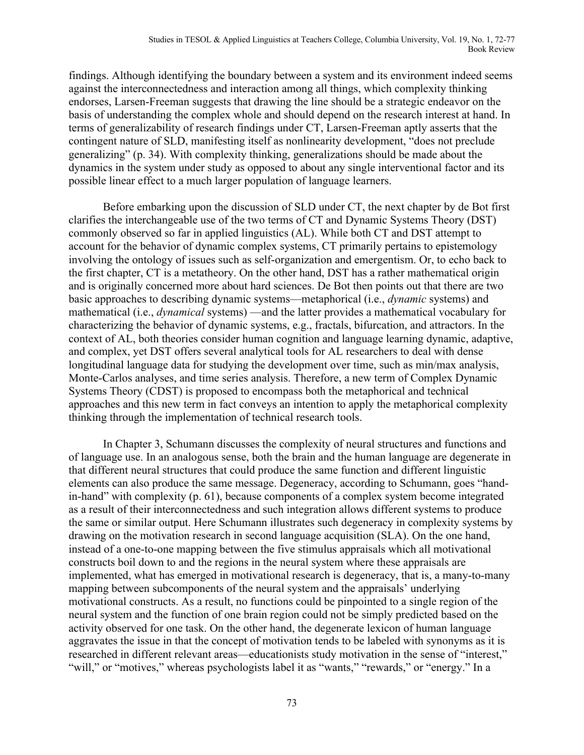findings. Although identifying the boundary between a system and its environment indeed seems against the interconnectedness and interaction among all things, which complexity thinking endorses, Larsen-Freeman suggests that drawing the line should be a strategic endeavor on the basis of understanding the complex whole and should depend on the research interest at hand. In terms of generalizability of research findings under CT, Larsen-Freeman aptly asserts that the contingent nature of SLD, manifesting itself as nonlinearity development, "does not preclude generalizing" (p. 34). With complexity thinking, generalizations should be made about the dynamics in the system under study as opposed to about any single interventional factor and its possible linear effect to a much larger population of language learners.

Before embarking upon the discussion of SLD under CT, the next chapter by de Bot first clarifies the interchangeable use of the two terms of CT and Dynamic Systems Theory (DST) commonly observed so far in applied linguistics (AL). While both CT and DST attempt to account for the behavior of dynamic complex systems, CT primarily pertains to epistemology involving the ontology of issues such as self-organization and emergentism. Or, to echo back to the first chapter, CT is a metatheory. On the other hand, DST has a rather mathematical origin and is originally concerned more about hard sciences. De Bot then points out that there are two basic approaches to describing dynamic systems—metaphorical (i.e., *dynamic* systems) and mathematical (i.e., *dynamical* systems) —and the latter provides a mathematical vocabulary for characterizing the behavior of dynamic systems, e.g., fractals, bifurcation, and attractors. In the context of AL, both theories consider human cognition and language learning dynamic, adaptive, and complex, yet DST offers several analytical tools for AL researchers to deal with dense longitudinal language data for studying the development over time, such as min/max analysis, Monte-Carlos analyses, and time series analysis. Therefore, a new term of Complex Dynamic Systems Theory (CDST) is proposed to encompass both the metaphorical and technical approaches and this new term in fact conveys an intention to apply the metaphorical complexity thinking through the implementation of technical research tools.

In Chapter 3, Schumann discusses the complexity of neural structures and functions and of language use. In an analogous sense, both the brain and the human language are degenerate in that different neural structures that could produce the same function and different linguistic elements can also produce the same message. Degeneracy, according to Schumann, goes "handin-hand" with complexity (p. 61), because components of a complex system become integrated as a result of their interconnectedness and such integration allows different systems to produce the same or similar output. Here Schumann illustrates such degeneracy in complexity systems by drawing on the motivation research in second language acquisition (SLA). On the one hand, instead of a one-to-one mapping between the five stimulus appraisals which all motivational constructs boil down to and the regions in the neural system where these appraisals are implemented, what has emerged in motivational research is degeneracy, that is, a many-to-many mapping between subcomponents of the neural system and the appraisals' underlying motivational constructs. As a result, no functions could be pinpointed to a single region of the neural system and the function of one brain region could not be simply predicted based on the activity observed for one task. On the other hand, the degenerate lexicon of human language aggravates the issue in that the concept of motivation tends to be labeled with synonyms as it is researched in different relevant areas—educationists study motivation in the sense of "interest," "will," or "motives," whereas psychologists label it as "wants," "rewards," or "energy." In a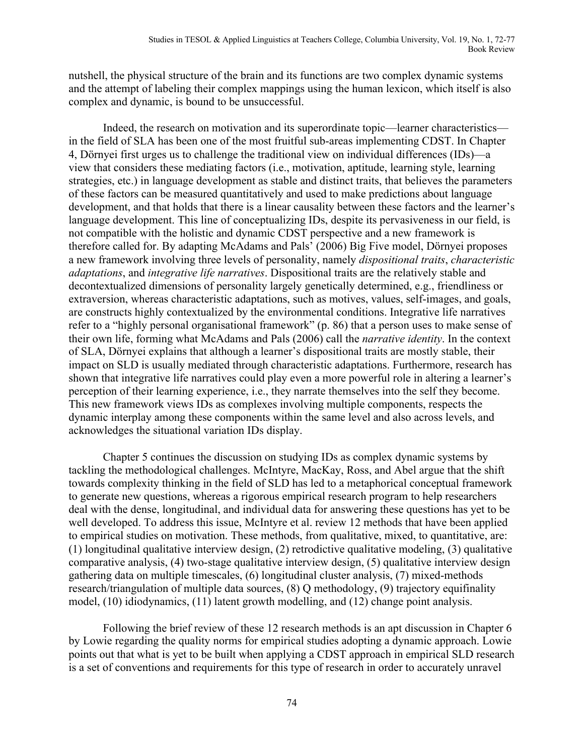nutshell, the physical structure of the brain and its functions are two complex dynamic systems and the attempt of labeling their complex mappings using the human lexicon, which itself is also complex and dynamic, is bound to be unsuccessful.

Indeed, the research on motivation and its superordinate topic—learner characteristics in the field of SLA has been one of the most fruitful sub-areas implementing CDST. In Chapter 4, Dörnyei first urges us to challenge the traditional view on individual differences (IDs)—a view that considers these mediating factors (i.e., motivation, aptitude, learning style, learning strategies, etc.) in language development as stable and distinct traits, that believes the parameters of these factors can be measured quantitatively and used to make predictions about language development, and that holds that there is a linear causality between these factors and the learner's language development. This line of conceptualizing IDs, despite its pervasiveness in our field, is not compatible with the holistic and dynamic CDST perspective and a new framework is therefore called for. By adapting McAdams and Pals' (2006) Big Five model, Dörnyei proposes a new framework involving three levels of personality, namely *dispositional traits*, *characteristic adaptations*, and *integrative life narratives*. Dispositional traits are the relatively stable and decontextualized dimensions of personality largely genetically determined, e.g., friendliness or extraversion, whereas characteristic adaptations, such as motives, values, self-images, and goals, are constructs highly contextualized by the environmental conditions. Integrative life narratives refer to a "highly personal organisational framework" (p. 86) that a person uses to make sense of their own life, forming what McAdams and Pals (2006) call the *narrative identity*. In the context of SLA, Dörnyei explains that although a learner's dispositional traits are mostly stable, their impact on SLD is usually mediated through characteristic adaptations. Furthermore, research has shown that integrative life narratives could play even a more powerful role in altering a learner's perception of their learning experience, i.e., they narrate themselves into the self they become. This new framework views IDs as complexes involving multiple components, respects the dynamic interplay among these components within the same level and also across levels, and acknowledges the situational variation IDs display.

Chapter 5 continues the discussion on studying IDs as complex dynamic systems by tackling the methodological challenges. McIntyre, MacKay, Ross, and Abel argue that the shift towards complexity thinking in the field of SLD has led to a metaphorical conceptual framework to generate new questions, whereas a rigorous empirical research program to help researchers deal with the dense, longitudinal, and individual data for answering these questions has yet to be well developed. To address this issue, McIntyre et al. review 12 methods that have been applied to empirical studies on motivation. These methods, from qualitative, mixed, to quantitative, are: (1) longitudinal qualitative interview design, (2) retrodictive qualitative modeling, (3) qualitative comparative analysis, (4) two-stage qualitative interview design, (5) qualitative interview design gathering data on multiple timescales, (6) longitudinal cluster analysis, (7) mixed-methods research/triangulation of multiple data sources, (8) Q methodology, (9) trajectory equifinality model, (10) idiodynamics, (11) latent growth modelling, and (12) change point analysis.

Following the brief review of these 12 research methods is an apt discussion in Chapter 6 by Lowie regarding the quality norms for empirical studies adopting a dynamic approach. Lowie points out that what is yet to be built when applying a CDST approach in empirical SLD research is a set of conventions and requirements for this type of research in order to accurately unravel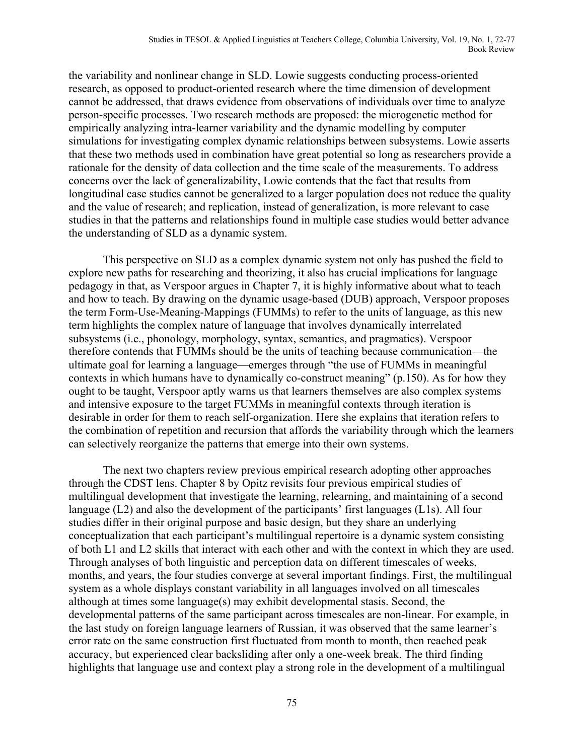the variability and nonlinear change in SLD. Lowie suggests conducting process-oriented research, as opposed to product-oriented research where the time dimension of development cannot be addressed, that draws evidence from observations of individuals over time to analyze person-specific processes. Two research methods are proposed: the microgenetic method for empirically analyzing intra-learner variability and the dynamic modelling by computer simulations for investigating complex dynamic relationships between subsystems. Lowie asserts that these two methods used in combination have great potential so long as researchers provide a rationale for the density of data collection and the time scale of the measurements. To address concerns over the lack of generalizability, Lowie contends that the fact that results from longitudinal case studies cannot be generalized to a larger population does not reduce the quality and the value of research; and replication, instead of generalization, is more relevant to case studies in that the patterns and relationships found in multiple case studies would better advance the understanding of SLD as a dynamic system.

This perspective on SLD as a complex dynamic system not only has pushed the field to explore new paths for researching and theorizing, it also has crucial implications for language pedagogy in that, as Verspoor argues in Chapter 7, it is highly informative about what to teach and how to teach. By drawing on the dynamic usage-based (DUB) approach, Verspoor proposes the term Form-Use-Meaning-Mappings (FUMMs) to refer to the units of language, as this new term highlights the complex nature of language that involves dynamically interrelated subsystems (i.e., phonology, morphology, syntax, semantics, and pragmatics). Verspoor therefore contends that FUMMs should be the units of teaching because communication—the ultimate goal for learning a language—emerges through "the use of FUMMs in meaningful contexts in which humans have to dynamically co-construct meaning" (p.150). As for how they ought to be taught, Verspoor aptly warns us that learners themselves are also complex systems and intensive exposure to the target FUMMs in meaningful contexts through iteration is desirable in order for them to reach self-organization. Here she explains that iteration refers to the combination of repetition and recursion that affords the variability through which the learners can selectively reorganize the patterns that emerge into their own systems.

The next two chapters review previous empirical research adopting other approaches through the CDST lens. Chapter 8 by Opitz revisits four previous empirical studies of multilingual development that investigate the learning, relearning, and maintaining of a second language (L2) and also the development of the participants' first languages (L1s). All four studies differ in their original purpose and basic design, but they share an underlying conceptualization that each participant's multilingual repertoire is a dynamic system consisting of both L1 and L2 skills that interact with each other and with the context in which they are used. Through analyses of both linguistic and perception data on different timescales of weeks, months, and years, the four studies converge at several important findings. First, the multilingual system as a whole displays constant variability in all languages involved on all timescales although at times some language(s) may exhibit developmental stasis. Second, the developmental patterns of the same participant across timescales are non-linear. For example, in the last study on foreign language learners of Russian, it was observed that the same learner's error rate on the same construction first fluctuated from month to month, then reached peak accuracy, but experienced clear backsliding after only a one-week break. The third finding highlights that language use and context play a strong role in the development of a multilingual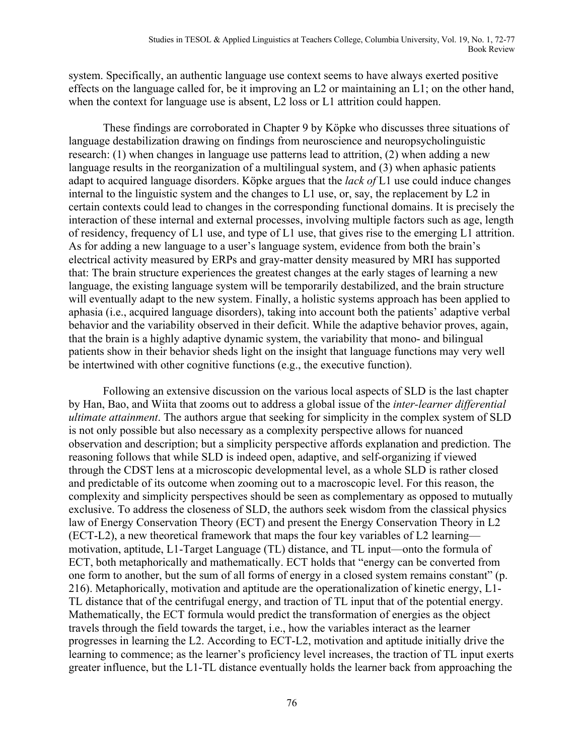system. Specifically, an authentic language use context seems to have always exerted positive effects on the language called for, be it improving an L2 or maintaining an L1; on the other hand, when the context for language use is absent, L2 loss or L1 attrition could happen.

These findings are corroborated in Chapter 9 by Köpke who discusses three situations of language destabilization drawing on findings from neuroscience and neuropsycholinguistic research: (1) when changes in language use patterns lead to attrition, (2) when adding a new language results in the reorganization of a multilingual system, and (3) when aphasic patients adapt to acquired language disorders. Köpke argues that the *lack of* L1 use could induce changes internal to the linguistic system and the changes to L1 use, or, say, the replacement by L2 in certain contexts could lead to changes in the corresponding functional domains. It is precisely the interaction of these internal and external processes, involving multiple factors such as age, length of residency, frequency of L1 use, and type of L1 use, that gives rise to the emerging L1 attrition. As for adding a new language to a user's language system, evidence from both the brain's electrical activity measured by ERPs and gray-matter density measured by MRI has supported that: The brain structure experiences the greatest changes at the early stages of learning a new language, the existing language system will be temporarily destabilized, and the brain structure will eventually adapt to the new system. Finally, a holistic systems approach has been applied to aphasia (i.e., acquired language disorders), taking into account both the patients' adaptive verbal behavior and the variability observed in their deficit. While the adaptive behavior proves, again, that the brain is a highly adaptive dynamic system, the variability that mono- and bilingual patients show in their behavior sheds light on the insight that language functions may very well be intertwined with other cognitive functions (e.g., the executive function).

Following an extensive discussion on the various local aspects of SLD is the last chapter by Han, Bao, and Wiita that zooms out to address a global issue of the *inter-learner differential ultimate attainment*. The authors argue that seeking for simplicity in the complex system of SLD is not only possible but also necessary as a complexity perspective allows for nuanced observation and description; but a simplicity perspective affords explanation and prediction. The reasoning follows that while SLD is indeed open, adaptive, and self-organizing if viewed through the CDST lens at a microscopic developmental level, as a whole SLD is rather closed and predictable of its outcome when zooming out to a macroscopic level. For this reason, the complexity and simplicity perspectives should be seen as complementary as opposed to mutually exclusive. To address the closeness of SLD, the authors seek wisdom from the classical physics law of Energy Conservation Theory (ECT) and present the Energy Conservation Theory in L2 (ECT-L2), a new theoretical framework that maps the four key variables of L2 learning motivation, aptitude, L1-Target Language (TL) distance, and TL input—onto the formula of ECT, both metaphorically and mathematically. ECT holds that "energy can be converted from one form to another, but the sum of all forms of energy in a closed system remains constant" (p. 216). Metaphorically, motivation and aptitude are the operationalization of kinetic energy, L1- TL distance that of the centrifugal energy, and traction of TL input that of the potential energy. Mathematically, the ECT formula would predict the transformation of energies as the object travels through the field towards the target, i.e., how the variables interact as the learner progresses in learning the L2. According to ECT-L2, motivation and aptitude initially drive the learning to commence; as the learner's proficiency level increases, the traction of TL input exerts greater influence, but the L1-TL distance eventually holds the learner back from approaching the